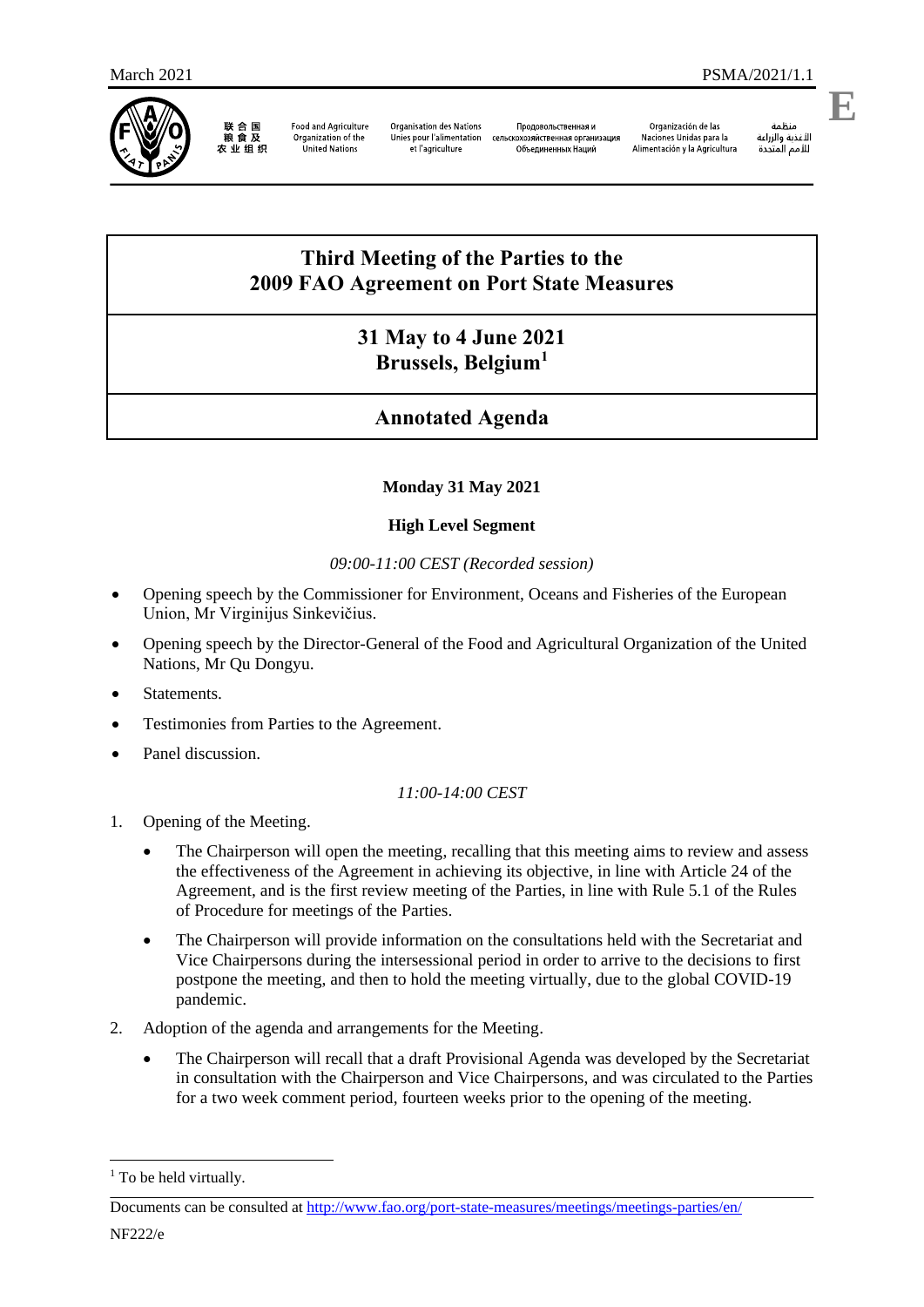

联合国<br>粮食及 农业组织

**Food and Agriculture** Organization of the<br>United Nations

**Organisation des Nations** Продовольственная и Unies pour l'alimentation  $C<sub>CDM</sub>$ et l'agriculture

скохозяйственная организация Объединенных Наций

Organización de las Naciones Unidas para la Alimentación y la Agricultura

منطمه<br>الأغذية والزراعة<br>للأمم المتحدة

منظمة

**E**

# **Third Meeting of the Parties to the 2009 FAO Agreement on Port State Measures**

## **31 May to 4 June 2021 Brussels, Belgium<sup>1</sup>**

# **Annotated Agenda**

## **Monday 31 May 2021**

## **High Level Segment**

### *09:00-11:00 CEST (Recorded session)*

- Opening speech by the Commissioner for Environment, Oceans and Fisheries of the European Union, Mr Virginijus Sinkevičius.
- Opening speech by the Director-General of the Food and Agricultural Organization of the United Nations, Mr Qu Dongyu.
- **Statements**
- Testimonies from Parties to the Agreement.
- Panel discussion.

## *11:00-14:00 CEST*

- 1. Opening of the Meeting.
	- The Chairperson will open the meeting, recalling that this meeting aims to review and assess the effectiveness of the Agreement in achieving its objective, in line with Article 24 of the Agreement, and is the first review meeting of the Parties, in line with Rule 5.1 of the Rules of Procedure for meetings of the Parties.
	- The Chairperson will provide information on the consultations held with the Secretariat and Vice Chairpersons during the intersessional period in order to arrive to the decisions to first postpone the meeting, and then to hold the meeting virtually, due to the global COVID-19 pandemic.
- 2. Adoption of the agenda and arrangements for the Meeting.
	- The Chairperson will recall that a draft Provisional Agenda was developed by the Secretariat in consultation with the Chairperson and Vice Chairpersons, and was circulated to the Parties for a two week comment period, fourteen weeks prior to the opening of the meeting.

1

<sup>&</sup>lt;sup>1</sup> To be held virtually.

Documents can be consulted at<http://www.fao.org/port-state-measures/meetings/meetings-parties/en/>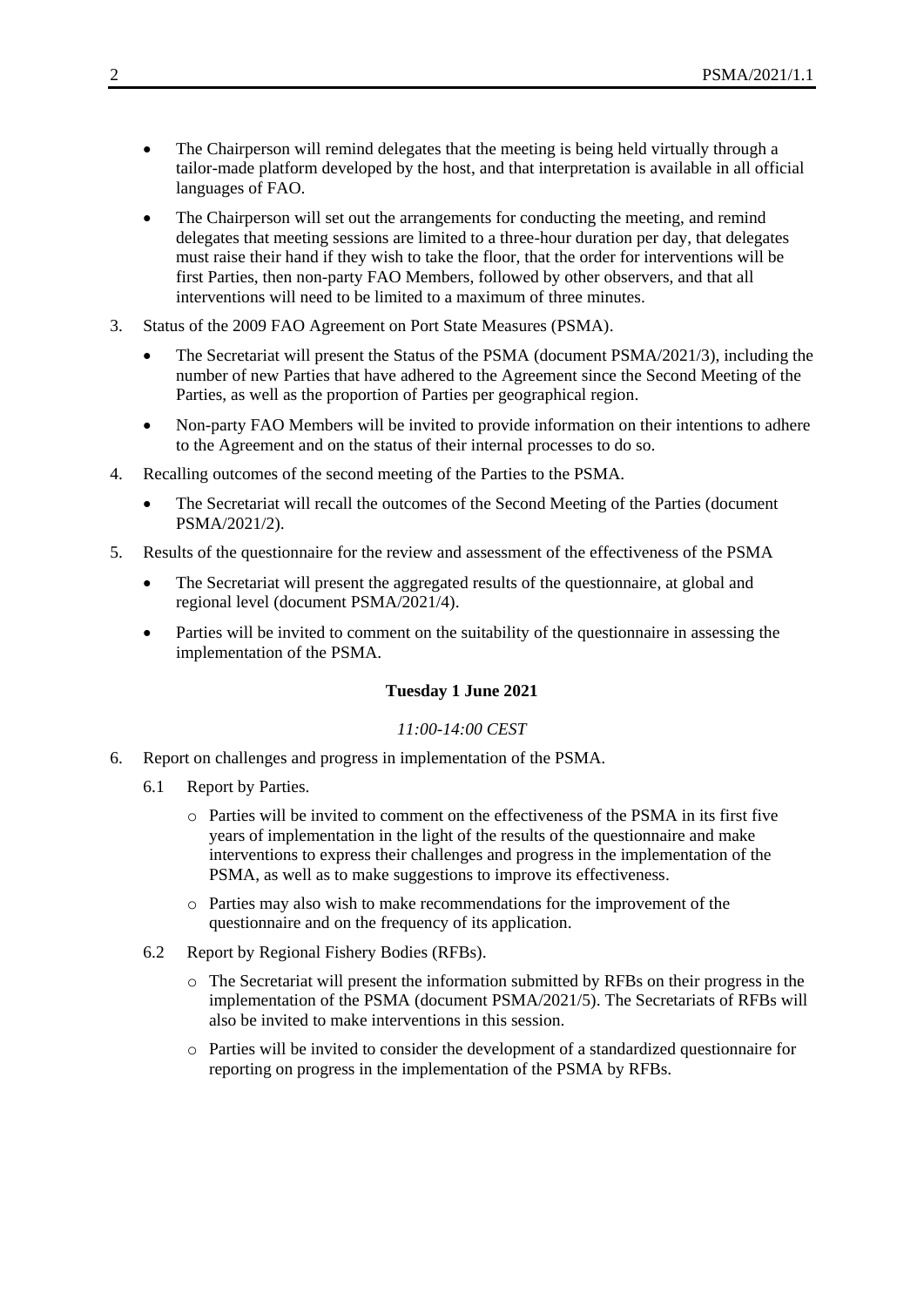- The Chairperson will remind delegates that the meeting is being held virtually through a tailor-made platform developed by the host, and that interpretation is available in all official languages of FAO.
- The Chairperson will set out the arrangements for conducting the meeting, and remind delegates that meeting sessions are limited to a three-hour duration per day, that delegates must raise their hand if they wish to take the floor, that the order for interventions will be first Parties, then non-party FAO Members, followed by other observers, and that all interventions will need to be limited to a maximum of three minutes.
- 3. Status of the 2009 FAO Agreement on Port State Measures (PSMA).
	- The Secretariat will present the Status of the PSMA (document PSMA/2021/3), including the number of new Parties that have adhered to the Agreement since the Second Meeting of the Parties, as well as the proportion of Parties per geographical region.
	- Non-party FAO Members will be invited to provide information on their intentions to adhere to the Agreement and on the status of their internal processes to do so.
- 4. Recalling outcomes of the second meeting of the Parties to the PSMA.
	- The Secretariat will recall the outcomes of the Second Meeting of the Parties (document PSMA/2021/2).
- 5. Results of the questionnaire for the review and assessment of the effectiveness of the PSMA
	- The Secretariat will present the aggregated results of the questionnaire, at global and regional level (document PSMA/2021/4).
	- Parties will be invited to comment on the suitability of the questionnaire in assessing the implementation of the PSMA.

### **Tuesday 1 June 2021**

### *11:00-14:00 CEST*

- 6. Report on challenges and progress in implementation of the PSMA.
	- 6.1 Report by Parties.
		- o Parties will be invited to comment on the effectiveness of the PSMA in its first five years of implementation in the light of the results of the questionnaire and make interventions to express their challenges and progress in the implementation of the PSMA, as well as to make suggestions to improve its effectiveness.
		- o Parties may also wish to make recommendations for the improvement of the questionnaire and on the frequency of its application.
	- 6.2 Report by Regional Fishery Bodies (RFBs).
		- o The Secretariat will present the information submitted by RFBs on their progress in the implementation of the PSMA (document PSMA/2021/5). The Secretariats of RFBs will also be invited to make interventions in this session.
		- o Parties will be invited to consider the development of a standardized questionnaire for reporting on progress in the implementation of the PSMA by RFBs.